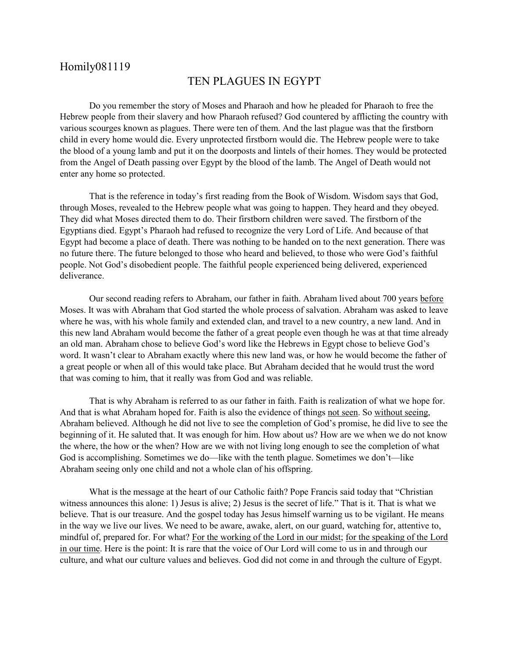## Homily081119

## TEN PLAGUES IN EGYPT

Do you remember the story of Moses and Pharaoh and how he pleaded for Pharaoh to free the Hebrew people from their slavery and how Pharaoh refused? God countered by afflicting the country with various scourges known as plagues. There were ten of them. And the last plague was that the firstborn child in every home would die. Every unprotected firstborn would die. The Hebrew people were to take the blood of a young lamb and put it on the doorposts and lintels of their homes. They would be protected from the Angel of Death passing over Egypt by the blood of the lamb. The Angel of Death would not enter any home so protected.

That is the reference in today's first reading from the Book of Wisdom. Wisdom says that God, through Moses, revealed to the Hebrew people what was going to happen. They heard and they obeyed. They did what Moses directed them to do. Their firstborn children were saved. The firstborn of the Egyptians died. Egypt's Pharaoh had refused to recognize the very Lord of Life. And because of that Egypt had become a place of death. There was nothing to be handed on to the next generation. There was no future there. The future belonged to those who heard and believed, to those who were God's faithful people. Not God's disobedient people. The faithful people experienced being delivered, experienced deliverance.

Our second reading refers to Abraham, our father in faith. Abraham lived about 700 years before Moses. It was with Abraham that God started the whole process of salvation. Abraham was asked to leave where he was, with his whole family and extended clan, and travel to a new country, a new land. And in this new land Abraham would become the father of a great people even though he was at that time already an old man. Abraham chose to believe God's word like the Hebrews in Egypt chose to believe God's word. It wasn't clear to Abraham exactly where this new land was, or how he would become the father of a great people or when all of this would take place. But Abraham decided that he would trust the word that was coming to him, that it really was from God and was reliable.

That is why Abraham is referred to as our father in faith. Faith is realization of what we hope for. And that is what Abraham hoped for. Faith is also the evidence of things not seen. So without seeing, Abraham believed. Although he did not live to see the completion of God's promise, he did live to see the beginning of it. He saluted that. It was enough for him. How about us? How are we when we do not know the where, the how or the when? How are we with not living long enough to see the completion of what God is accomplishing. Sometimes we do—like with the tenth plague. Sometimes we don't—like Abraham seeing only one child and not a whole clan of his offspring.

What is the message at the heart of our Catholic faith? Pope Francis said today that "Christian witness announces this alone: 1) Jesus is alive; 2) Jesus is the secret of life." That is it. That is what we believe. That is our treasure. And the gospel today has Jesus himself warning us to be vigilant. He means in the way we live our lives. We need to be aware, awake, alert, on our guard, watching for, attentive to, mindful of, prepared for. For what? For the working of the Lord in our midst; for the speaking of the Lord in our time. Here is the point: It is rare that the voice of Our Lord will come to us in and through our culture, and what our culture values and believes. God did not come in and through the culture of Egypt.